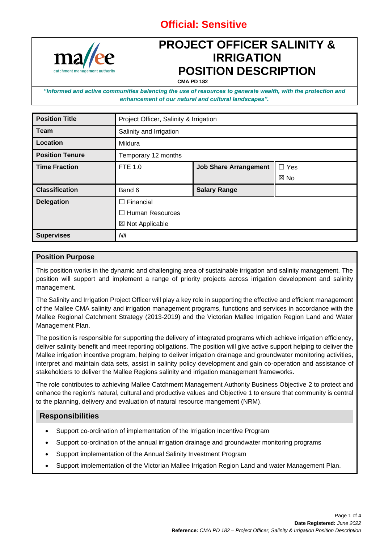

## **PROJECT OFFICER SALINITY & IRRIGATION POSITION DESCRIPTION**

**CMA PD 182**

*"Informed and active communities balancing the use of resources to generate wealth, with the protection and enhancement of our natural and cultural landscapes".*

| <b>Position Title</b>  | Project Officer, Salinity & Irrigation |                              |                |
|------------------------|----------------------------------------|------------------------------|----------------|
| <b>Team</b>            | Salinity and Irrigation                |                              |                |
| Location               | Mildura                                |                              |                |
| <b>Position Tenure</b> | Temporary 12 months                    |                              |                |
| <b>Time Fraction</b>   | <b>FTE 1.0</b>                         | <b>Job Share Arrangement</b> | $\Box$ Yes     |
|                        |                                        |                              | $\boxtimes$ No |
| <b>Classification</b>  | Band 6                                 | <b>Salary Range</b>          |                |
| <b>Delegation</b>      | $\Box$ Financial                       |                              |                |
|                        | $\Box$ Human Resources                 |                              |                |
|                        | ⊠ Not Applicable                       |                              |                |
| <b>Supervises</b>      | Nil                                    |                              |                |

### **Position Purpose**

This position works in the dynamic and challenging area of sustainable irrigation and salinity management. The position will support and implement a range of priority projects across irrigation development and salinity management.

The Salinity and Irrigation Project Officer will play a key role in supporting the effective and efficient management of the Mallee CMA salinity and irrigation management programs, functions and services in accordance with the Mallee Regional Catchment Strategy (2013-2019) and the Victorian Mallee Irrigation Region Land and Water Management Plan.

The position is responsible for supporting the delivery of integrated programs which achieve irrigation efficiency, deliver salinity benefit and meet reporting obligations. The position will give active support helping to deliver the Mallee irrigation incentive program, helping to deliver irrigation drainage and groundwater monitoring activities, interpret and maintain data sets, assist in salinity policy development and gain co-operation and assistance of stakeholders to deliver the Mallee Regions salinity and irrigation management frameworks.

The role contributes to achieving Mallee Catchment Management Authority Business Objective 2 to protect and enhance the region's natural, cultural and productive values and Objective 1 to ensure that community is central to the planning, delivery and evaluation of natural resource mangement (NRM).

### **Responsibilities**

- Support co-ordination of implementation of the Irrigation Incentive Program
- Support co-ordination of the annual irrigation drainage and groundwater monitoring programs
- Support implementation of the Annual Salinity Investment Program
- Support implementation of the Victorian Mallee Irrigation Region Land and water Management Plan.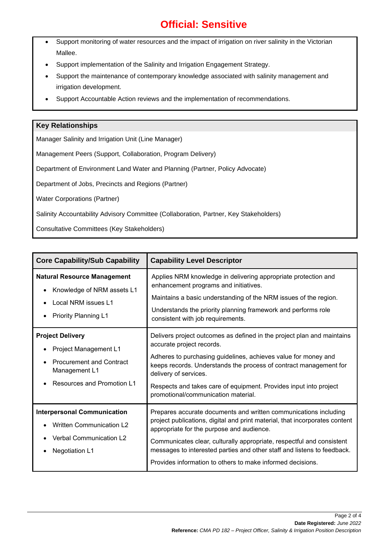- Support monitoring of water resources and the impact of irrigation on river salinity in the Victorian Mallee.
- Support implementation of the Salinity and Irrigation Engagement Strategy.
- Support the maintenance of contemporary knowledge associated with salinity management and irrigation development.
- Support Accountable Action reviews and the implementation of recommendations.

### **Key Relationships**

Manager Salinity and Irrigation Unit (Line Manager)

Management Peers (Support, Collaboration, Program Delivery)

Department of Environment Land Water and Planning (Partner, Policy Advocate)

Department of Jobs, Precincts and Regions (Partner)

Water Corporations (Partner)

Salinity Accountability Advisory Committee (Collaboration, Partner, Key Stakeholders)

Consultative Committees (Key Stakeholders)

| <b>Core Capability/Sub Capability</b>                                                                                                     | <b>Capability Level Descriptor</b>                                                                                                                                                                                                                                                                                                                                                                             |  |
|-------------------------------------------------------------------------------------------------------------------------------------------|----------------------------------------------------------------------------------------------------------------------------------------------------------------------------------------------------------------------------------------------------------------------------------------------------------------------------------------------------------------------------------------------------------------|--|
| <b>Natural Resource Management</b><br>Knowledge of NRM assets L1<br>Local NRM issues L1<br><b>Priority Planning L1</b>                    | Applies NRM knowledge in delivering appropriate protection and<br>enhancement programs and initiatives.<br>Maintains a basic understanding of the NRM issues of the region.<br>Understands the priority planning framework and performs role<br>consistent with job requirements.                                                                                                                              |  |
| <b>Project Delivery</b><br>Project Management L1<br><b>Procurement and Contract</b><br>Management L1<br><b>Resources and Promotion L1</b> | Delivers project outcomes as defined in the project plan and maintains<br>accurate project records.<br>Adheres to purchasing guidelines, achieves value for money and<br>keeps records. Understands the process of contract management for<br>delivery of services.<br>Respects and takes care of equipment. Provides input into project<br>promotional/communication material.                                |  |
| <b>Interpersonal Communication</b><br><b>Written Communication L2</b><br><b>Verbal Communication L2</b><br><b>Negotiation L1</b>          | Prepares accurate documents and written communications including<br>project publications, digital and print material, that incorporates content<br>appropriate for the purpose and audience.<br>Communicates clear, culturally appropriate, respectful and consistent<br>messages to interested parties and other staff and listens to feedback.<br>Provides information to others to make informed decisions. |  |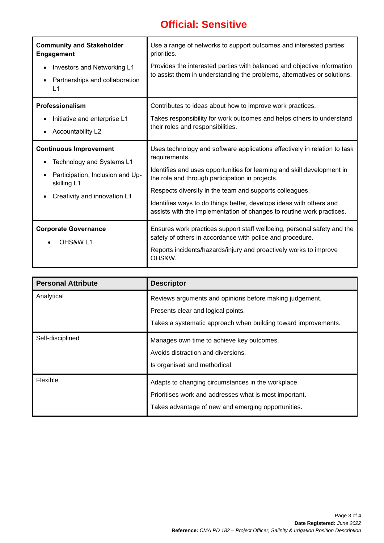| <b>Community and Stakeholder</b><br><b>Engagement</b><br>Investors and Networking L1<br>$\bullet$<br>Partnerships and collaboration<br>$\bullet$<br>L1 | Use a range of networks to support outcomes and interested parties'<br>priorities.<br>Provides the interested parties with balanced and objective information<br>to assist them in understanding the problems, alternatives or solutions.                                                                                                                                                                                           |
|--------------------------------------------------------------------------------------------------------------------------------------------------------|-------------------------------------------------------------------------------------------------------------------------------------------------------------------------------------------------------------------------------------------------------------------------------------------------------------------------------------------------------------------------------------------------------------------------------------|
| Professionalism<br>Initiative and enterprise L1<br>Accountability L2                                                                                   | Contributes to ideas about how to improve work practices.<br>Takes responsibility for work outcomes and helps others to understand<br>their roles and responsibilities.                                                                                                                                                                                                                                                             |
| <b>Continuous Improvement</b><br>Technology and Systems L1<br>Participation, Inclusion and Up-<br>skilling L1<br>Creativity and innovation L1          | Uses technology and software applications effectively in relation to task<br>requirements.<br>Identifies and uses opportunities for learning and skill development in<br>the role and through participation in projects.<br>Respects diversity in the team and supports colleagues.<br>Identifies ways to do things better, develops ideas with others and<br>assists with the implementation of changes to routine work practices. |
| <b>Corporate Governance</b><br>OHS&W <sub>L1</sub>                                                                                                     | Ensures work practices support staff wellbeing, personal safety and the<br>safety of others in accordance with police and procedure.<br>Reports incidents/hazards/injury and proactively works to improve<br>OHS&W.                                                                                                                                                                                                                 |

| <b>Personal Attribute</b> | <b>Descriptor</b>                                                                             |  |
|---------------------------|-----------------------------------------------------------------------------------------------|--|
| Analytical                | Reviews arguments and opinions before making judgement.<br>Presents clear and logical points. |  |
|                           |                                                                                               |  |
|                           | Takes a systematic approach when building toward improvements.                                |  |
| Self-disciplined          | Manages own time to achieve key outcomes.                                                     |  |
|                           | Avoids distraction and diversions.                                                            |  |
|                           | Is organised and methodical.                                                                  |  |
| Flexible                  | Adapts to changing circumstances in the workplace.                                            |  |
|                           | Prioritises work and addresses what is most important.                                        |  |
|                           | Takes advantage of new and emerging opportunities.                                            |  |